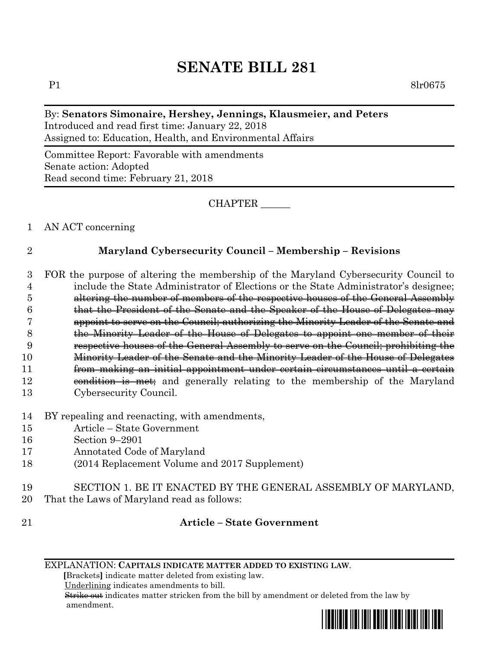# **SENATE BILL 281**

P1 8lr0675

## By: **Senators Simonaire, Hershey, Jennings, Klausmeier, and Peters**

Introduced and read first time: January 22, 2018 Assigned to: Education, Health, and Environmental Affairs

Committee Report: Favorable with amendments Senate action: Adopted Read second time: February 21, 2018

CHAPTER \_\_\_\_\_\_

1 AN ACT concerning

### 2 **Maryland Cybersecurity Council – Membership – Revisions**

 FOR the purpose of altering the membership of the Maryland Cybersecurity Council to include the State Administrator of Elections or the State Administrator's designee; altering the number of members of the respective houses of the General Assembly that the President of the Senate and the Speaker of the House of Delegates may appoint to serve on the Council; authorizing the Minority Leader of the Senate and the Minority Leader of the House of Delegates to appoint one member of their respective houses of the General Assembly to serve on the Council; prohibiting the Minority Leader of the Senate and the Minority Leader of the House of Delegates from making an initial appointment under certain circumstances until a certain 12 condition is met; and generally relating to the membership of the Maryland Cybersecurity Council.

- 14 BY repealing and reenacting, with amendments,
- 15 Article State Government
- 16 Section 9–2901
- 17 Annotated Code of Maryland
- 18 (2014 Replacement Volume and 2017 Supplement)
- 19 SECTION 1. BE IT ENACTED BY THE GENERAL ASSEMBLY OF MARYLAND,
- 20 That the Laws of Maryland read as follows:
- 

### 21 **Article – State Government**

 **[**Brackets**]** indicate matter deleted from existing law.

Underlining indicates amendments to bill.

 Strike out indicates matter stricken from the bill by amendment or deleted from the law by amendment.



EXPLANATION: **CAPITALS INDICATE MATTER ADDED TO EXISTING LAW**.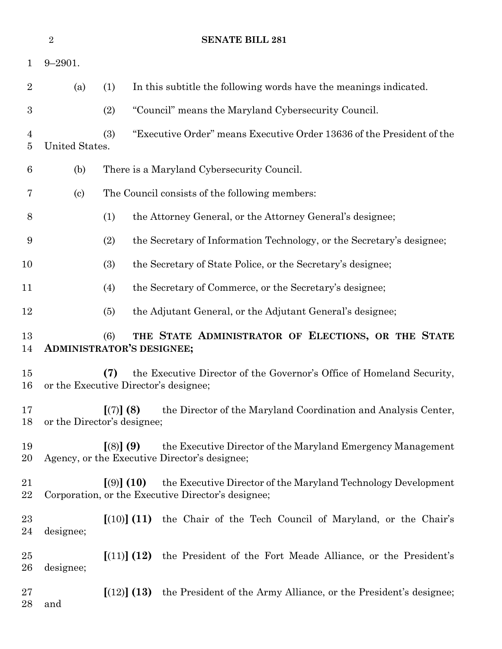|                | $\overline{2}$             | <b>SENATE BILL 281</b>                                                                                                              |
|----------------|----------------------------|-------------------------------------------------------------------------------------------------------------------------------------|
| $\mathbf 1$    | $9 - 2901.$                |                                                                                                                                     |
| $\overline{2}$ | (a)                        | (1)<br>In this subtitle the following words have the meanings indicated.                                                            |
| 3              |                            | "Council" means the Maryland Cybersecurity Council.<br>(2)                                                                          |
| 4<br>5         | United States.             | "Executive Order" means Executive Order 13636 of the President of the<br>(3)                                                        |
| 6              | (b)                        | There is a Maryland Cybersecurity Council.                                                                                          |
| 7              | $\left( \mathrm{c}\right)$ | The Council consists of the following members:                                                                                      |
| 8              |                            | (1)<br>the Attorney General, or the Attorney General's designee;                                                                    |
| 9              |                            | the Secretary of Information Technology, or the Secretary's designee;<br>(2)                                                        |
| 10             |                            | (3)<br>the Secretary of State Police, or the Secretary's designee;                                                                  |
| 11             |                            | the Secretary of Commerce, or the Secretary's designee;<br>(4)                                                                      |
| 12             |                            | the Adjutant General, or the Adjutant General's designee;<br>(5)                                                                    |
| 13<br>14       |                            | THE STATE ADMINISTRATOR OF ELECTIONS, OR THE STATE<br>(6)<br><b>ADMINISTRATOR'S DESIGNEE;</b>                                       |
| 15<br>16       |                            | (7)<br>the Executive Director of the Governor's Office of Homeland Security,<br>or the Executive Director's designee;               |
| 17<br>18       |                            | the Director of the Maryland Coordination and Analysis Center,<br>[(7)] (8)<br>or the Director's designee;                          |
| 19<br>20       |                            | [(8)] (9)<br>the Executive Director of the Maryland Emergency Management<br>Agency, or the Executive Director's designee;           |
| 21<br>22       |                            | [ (9) ] (10)<br>the Executive Director of the Maryland Technology Development<br>Corporation, or the Executive Director's designee; |
| 23<br>24       | designee;                  | $(10)$ (11) the Chair of the Tech Council of Maryland, or the Chair's                                                               |
| 25<br>26       | designee;                  | [(11)] (12)<br>the President of the Fort Meade Alliance, or the President's                                                         |
| 27<br>28       | and                        | $\left[ (12) \right]$ (13) the President of the Army Alliance, or the President's designee;                                         |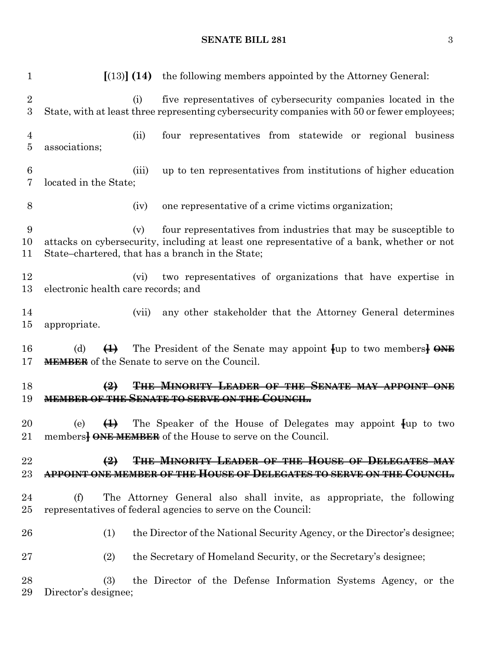### **SENATE BILL 281** 3

| $\mathbf{1}$                         | $\left[ (13) \right]$ (14) the following members appointed by the Attorney General:                                                                                                                                     |
|--------------------------------------|-------------------------------------------------------------------------------------------------------------------------------------------------------------------------------------------------------------------------|
| $\boldsymbol{2}$<br>$\boldsymbol{3}$ | five representatives of cybersecurity companies located in the<br>(i)<br>State, with at least three representing cybersecurity companies with 50 or fewer employees;                                                    |
| $\overline{4}$<br>$\overline{5}$     | four representatives from statewide or regional business<br>(ii)<br>associations;                                                                                                                                       |
| 6<br>7                               | up to ten representatives from institutions of higher education<br>(iii)<br>located in the State;                                                                                                                       |
| 8                                    | one representative of a crime victims organization;<br>(iv)                                                                                                                                                             |
| 9<br>10<br>11                        | four representatives from industries that may be susceptible to<br>(v)<br>attacks on cybersecurity, including at least one representative of a bank, whether or not<br>State-chartered, that has a branch in the State; |
| 12<br>13                             | two representatives of organizations that have expertise in<br>(vi)<br>electronic health care records; and                                                                                                              |
| 14<br>15                             | any other stakeholder that the Attorney General determines<br>(vii)<br>appropriate.                                                                                                                                     |
| 16<br>17                             | The President of the Senate may appoint $\{\mu\}$ to two members $\overline{\Theta}$<br>(d)<br>$\bigoplus$<br><b>MEMBER</b> of the Senate to serve on the Council.                                                      |
| 18<br>19                             | <b>THE MINORITY LEADER OF THE</b><br>$\bigoplus$<br><b>MEMBER OF THE SENATE TO SERVE ON THE COUNCIL.</b>                                                                                                                |
| 20                                   | $\bigoplus$<br>The Speaker of the House of Delegates may appoint $\psi$ to two<br>(e)<br>21 members <b>} ONE MEMBER</b> of the House to serve on the Council.                                                           |
| 22<br>23                             | THE MINORITY LEADER OF THE HOUSE OF DELEGATES MAY<br>$\leftrightarrow$<br>APPOINT ONE MEMBER OF THE HOUSE OF DELEGATES TO SERVE ON THE COUNCIL.                                                                         |
| 24                                   |                                                                                                                                                                                                                         |
| 25                                   | The Attorney General also shall invite, as appropriate, the following<br>(f)<br>representatives of federal agencies to serve on the Council:                                                                            |
| 26                                   | the Director of the National Security Agency, or the Director's designee;<br>(1)                                                                                                                                        |
| 27                                   | (2)<br>the Secretary of Homeland Security, or the Secretary's designee;                                                                                                                                                 |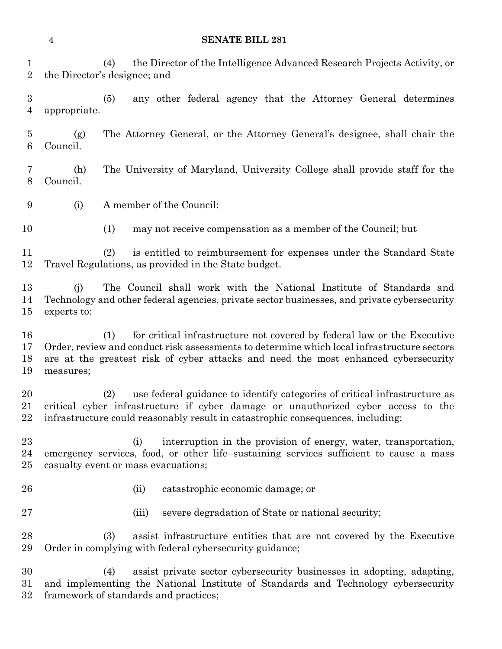(5) any other federal agency that the Attorney General determines (1) may not receive compensation as a member of the Council; but (ii) catastrophic economic damage; or (iii) severe degradation of State or national security; (3) assist infrastructure entities that are not covered by the Executive Order in complying with federal cybersecurity guidance;

 (4) assist private sector cybersecurity businesses in adopting, adapting, and implementing the National Institute of Standards and Technology cybersecurity framework of standards and practices;

### **SENATE BILL 281**

- (4) the Director of the Intelligence Advanced Research Projects Activity, or the Director's designee; and
- appropriate.
- (g) The Attorney General, or the Attorney General's designee, shall chair the Council.
- (h) The University of Maryland, University College shall provide staff for the Council.
- (i) A member of the Council:
- -
- (2) is entitled to reimbursement for expenses under the Standard State Travel Regulations, as provided in the State budget.
- (j) The Council shall work with the National Institute of Standards and Technology and other federal agencies, private sector businesses, and private cybersecurity experts to:
- (1) for critical infrastructure not covered by federal law or the Executive Order, review and conduct risk assessments to determine which local infrastructure sectors are at the greatest risk of cyber attacks and need the most enhanced cybersecurity measures;
- (2) use federal guidance to identify categories of critical infrastructure as critical cyber infrastructure if cyber damage or unauthorized cyber access to the infrastructure could reasonably result in catastrophic consequences, including:
- (i) interruption in the provision of energy, water, transportation, emergency services, food, or other life–sustaining services sufficient to cause a mass casualty event or mass evacuations;
- 
-